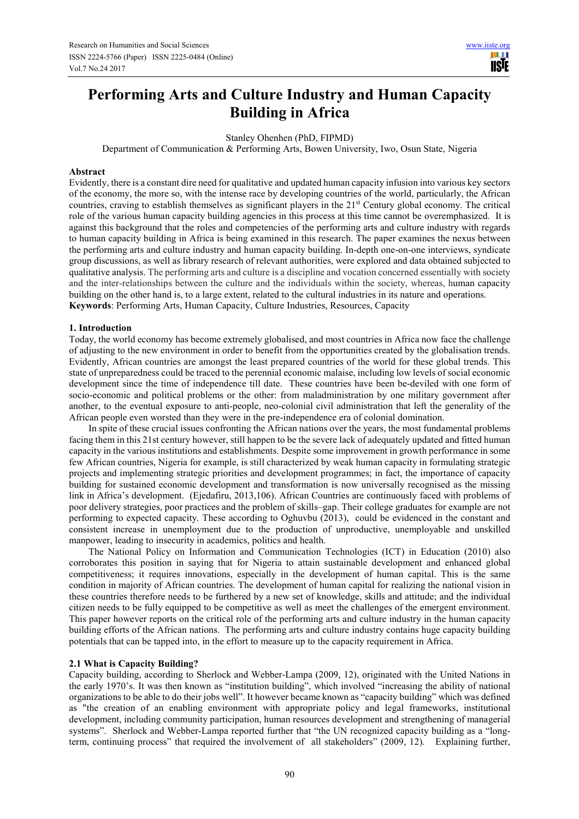# **Performing Arts and Culture Industry and Human Capacity Building in Africa**

Stanley Ohenhen (PhD, FIPMD)

Department of Communication & Performing Arts, Bowen University, Iwo, Osun State, Nigeria

#### **Abstract**

Evidently, there is a constant dire need for qualitative and updated human capacity infusion into various key sectors of the economy, the more so, with the intense race by developing countries of the world, particularly, the African countries, craving to establish themselves as significant players in the 21st Century global economy. The critical role of the various human capacity building agencies in this process at this time cannot be overemphasized. It is against this background that the roles and competencies of the performing arts and culture industry with regards to human capacity building in Africa is being examined in this research. The paper examines the nexus between the performing arts and culture industry and human capacity building. In-depth one-on-one interviews, syndicate group discussions, as well as library research of relevant authorities, were explored and data obtained subjected to qualitative analysis. The performing arts and culture is a discipline and vocation concerned essentially with society and the inter-relationships between the culture and the individuals within the society, whereas, human capacity building on the other hand is, to a large extent, related to the cultural industries in its nature and operations. **Keywords**: Performing Arts, Human Capacity, Culture Industries, Resources, Capacity

#### **1. Introduction**

Today, the world economy has become extremely globalised, and most countries in Africa now face the challenge of adjusting to the new environment in order to benefit from the opportunities created by the globalisation trends. Evidently, African countries are amongst the least prepared countries of the world for these global trends. This state of unpreparedness could be traced to the perennial economic malaise, including low levels of social economic development since the time of independence till date. These countries have been be-deviled with one form of socio-economic and political problems or the other: from maladministration by one military government after another, to the eventual exposure to anti-people, neo-colonial civil administration that left the generality of the African people even worsted than they were in the pre-independence era of colonial domination.

In spite of these crucial issues confronting the African nations over the years, the most fundamental problems facing them in this 21st century however, still happen to be the severe lack of adequately updated and fitted human capacity in the various institutions and establishments. Despite some improvement in growth performance in some few African countries, Nigeria for example, is still characterized by weak human capacity in formulating strategic projects and implementing strategic priorities and development programmes; in fact, the importance of capacity building for sustained economic development and transformation is now universally recognised as the missing link in Africa's development. (Ejedafiru, 2013,106). African Countries are continuously faced with problems of poor delivery strategies, poor practices and the problem of skills–gap. Their college graduates for example are not performing to expected capacity. These according to Oghuvbu (2013), could be evidenced in the constant and consistent increase in unemployment due to the production of unproductive, unemployable and unskilled manpower, leading to insecurity in academics, politics and health.

The National Policy on Information and Communication Technologies (ICT) in Education (2010) also corroborates this position in saying that for Nigeria to attain sustainable development and enhanced global competitiveness; it requires innovations, especially in the development of human capital. This is the same condition in majority of African countries. The development of human capital for realizing the national vision in these countries therefore needs to be furthered by a new set of knowledge, skills and attitude; and the individual citizen needs to be fully equipped to be competitive as well as meet the challenges of the emergent environment. This paper however reports on the critical role of the performing arts and culture industry in the human capacity building efforts of the African nations. The performing arts and culture industry contains huge capacity building potentials that can be tapped into, in the effort to measure up to the capacity requirement in Africa.

#### **2.1 What is Capacity Building?**

Capacity building, according to Sherlock and Webber-Lampa (2009, 12), originated with the United Nations in the early 1970's. It was then known as "institution building", which involved "increasing the ability of national organizations to be able to do their jobs well". It however became known as "capacity building" which was defined as "the creation of an enabling environment with appropriate policy and legal frameworks, institutional development, including community participation, human resources development and strengthening of managerial systems". Sherlock and Webber-Lampa reported further that "the UN recognized capacity building as a "longterm, continuing process" that required the involvement of all stakeholders" (2009, 12). Explaining further,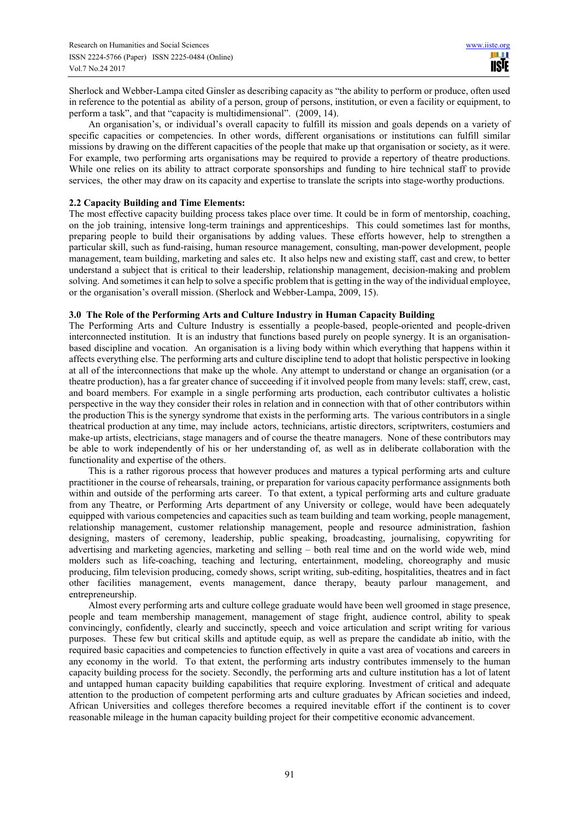Sherlock and Webber-Lampa cited Ginsler as describing capacity as "the ability to perform or produce, often used in reference to the potential as ability of a person, group of persons, institution, or even a facility or equipment, to perform a task", and that "capacity is multidimensional". (2009, 14).

An organisation's, or individual's overall capacity to fulfill its mission and goals depends on a variety of specific capacities or competencies. In other words, different organisations or institutions can fulfill similar missions by drawing on the different capacities of the people that make up that organisation or society, as it were. For example, two performing arts organisations may be required to provide a repertory of theatre productions. While one relies on its ability to attract corporate sponsorships and funding to hire technical staff to provide services, the other may draw on its capacity and expertise to translate the scripts into stage-worthy productions.

## **2.2 Capacity Building and Time Elements:**

The most effective capacity building process takes place over time. It could be in form of mentorship, coaching, on the job training, intensive long-term trainings and apprenticeships. This could sometimes last for months, preparing people to build their organisations by adding values. These efforts however, help to strengthen a particular skill, such as fund-raising, human resource management, consulting, man-power development, people management, team building, marketing and sales etc. It also helps new and existing staff, cast and crew, to better understand a subject that is critical to their leadership, relationship management, decision-making and problem solving. And sometimes it can help to solve a specific problem that is getting in the way of the individual employee, or the organisation's overall mission. (Sherlock and Webber-Lampa, 2009, 15).

#### **3.0 The Role of the Performing Arts and Culture Industry in Human Capacity Building**

The Performing Arts and Culture Industry is essentially a people-based, people-oriented and people-driven interconnected institution. It is an industry that functions based purely on people synergy. It is an organisationbased discipline and vocation. An organisation is a living body within which everything that happens within it affects everything else. The performing arts and culture discipline tend to adopt that holistic perspective in looking at all of the interconnections that make up the whole. Any attempt to understand or change an organisation (or a theatre production), has a far greater chance of succeeding if it involved people from many levels: staff, crew, cast, and board members. For example in a single performing arts production, each contributor cultivates a holistic perspective in the way they consider their roles in relation and in connection with that of other contributors within the production This is the synergy syndrome that exists in the performing arts. The various contributors in a single theatrical production at any time, may include actors, technicians, artistic directors, scriptwriters, costumiers and make-up artists, electricians, stage managers and of course the theatre managers. None of these contributors may be able to work independently of his or her understanding of, as well as in deliberate collaboration with the functionality and expertise of the others.

This is a rather rigorous process that however produces and matures a typical performing arts and culture practitioner in the course of rehearsals, training, or preparation for various capacity performance assignments both within and outside of the performing arts career. To that extent, a typical performing arts and culture graduate from any Theatre, or Performing Arts department of any University or college, would have been adequately equipped with various competencies and capacities such as team building and team working, people management, relationship management, customer relationship management, people and resource administration, fashion designing, masters of ceremony, leadership, public speaking, broadcasting, journalising, copywriting for advertising and marketing agencies, marketing and selling – both real time and on the world wide web, mind molders such as life-coaching, teaching and lecturing, entertainment, modeling, choreography and music producing, film television producing, comedy shows, script writing, sub-editing, hospitalities, theatres and in fact other facilities management, events management, dance therapy, beauty parlour management, and entrepreneurship.

Almost every performing arts and culture college graduate would have been well groomed in stage presence, people and team membership management, management of stage fright, audience control, ability to speak convincingly, confidently, clearly and succinctly, speech and voice articulation and script writing for various purposes. These few but critical skills and aptitude equip, as well as prepare the candidate ab initio, with the required basic capacities and competencies to function effectively in quite a vast area of vocations and careers in any economy in the world. To that extent, the performing arts industry contributes immensely to the human capacity building process for the society. Secondly, the performing arts and culture institution has a lot of latent and untapped human capacity building capabilities that require exploring. Investment of critical and adequate attention to the production of competent performing arts and culture graduates by African societies and indeed, African Universities and colleges therefore becomes a required inevitable effort if the continent is to cover reasonable mileage in the human capacity building project for their competitive economic advancement.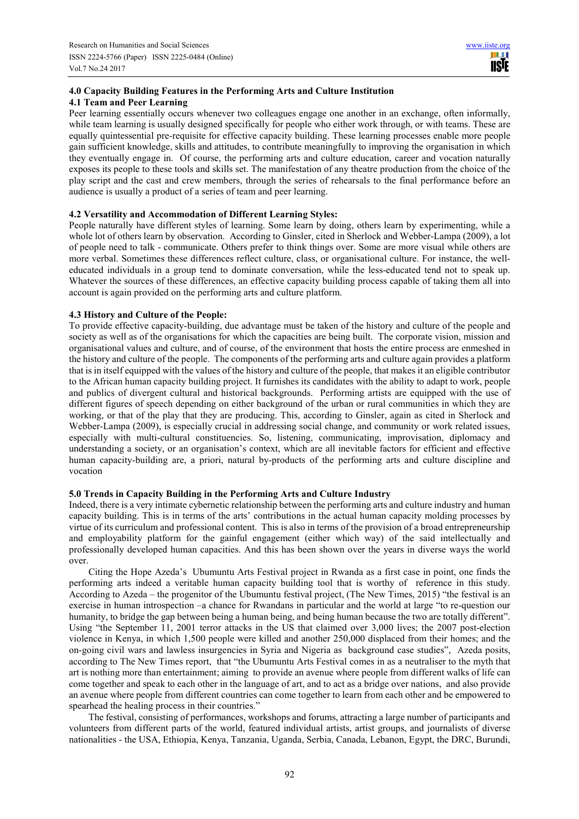# **4.0 Capacity Building Features in the Performing Arts and Culture Institution 4.1 Team and Peer Learning**

Peer learning essentially occurs whenever two colleagues engage one another in an exchange, often informally, while team learning is usually designed specifically for people who either work through, or with teams. These are equally quintessential pre-requisite for effective capacity building. These learning processes enable more people gain sufficient knowledge, skills and attitudes, to contribute meaningfully to improving the organisation in which they eventually engage in. Of course, the performing arts and culture education, career and vocation naturally exposes its people to these tools and skills set. The manifestation of any theatre production from the choice of the play script and the cast and crew members, through the series of rehearsals to the final performance before an audience is usually a product of a series of team and peer learning.

## **4.2 Versatility and Accommodation of Different Learning Styles:**

People naturally have different styles of learning. Some learn by doing, others learn by experimenting, while a whole lot of others learn by observation. According to Ginsler, cited in Sherlock and Webber-Lampa (2009), a lot of people need to talk - communicate. Others prefer to think things over. Some are more visual while others are more verbal. Sometimes these differences reflect culture, class, or organisational culture. For instance, the welleducated individuals in a group tend to dominate conversation, while the less-educated tend not to speak up. Whatever the sources of these differences, an effective capacity building process capable of taking them all into account is again provided on the performing arts and culture platform.

# **4.3 History and Culture of the People:**

To provide effective capacity-building, due advantage must be taken of the history and culture of the people and society as well as of the organisations for which the capacities are being built. The corporate vision, mission and organisational values and culture, and of course, of the environment that hosts the entire process are enmeshed in the history and culture of the people. The components of the performing arts and culture again provides a platform that is in itself equipped with the values of the history and culture of the people, that makes it an eligible contributor to the African human capacity building project. It furnishes its candidates with the ability to adapt to work, people and publics of divergent cultural and historical backgrounds. Performing artists are equipped with the use of different figures of speech depending on either background of the urban or rural communities in which they are working, or that of the play that they are producing. This, according to Ginsler, again as cited in Sherlock and Webber-Lampa (2009), is especially crucial in addressing social change, and community or work related issues, especially with multi-cultural constituencies. So, listening, communicating, improvisation, diplomacy and understanding a society, or an organisation's context, which are all inevitable factors for efficient and effective human capacity-building are, a priori, natural by-products of the performing arts and culture discipline and vocation

# **5.0 Trends in Capacity Building in the Performing Arts and Culture Industry**

Indeed, there is a very intimate cybernetic relationship between the performing arts and culture industry and human capacity building. This is in terms of the arts' contributions in the actual human capacity molding processes by virtue of its curriculum and professional content. This is also in terms of the provision of a broad entrepreneurship and employability platform for the gainful engagement (either which way) of the said intellectually and professionally developed human capacities. And this has been shown over the years in diverse ways the world over.

Citing the Hope Azeda's Ubumuntu Arts Festival project in Rwanda as a first case in point, one finds the performing arts indeed a veritable human capacity building tool that is worthy of reference in this study. According to Azeda – the progenitor of the Ubumuntu festival project, (The New Times, 2015) "the festival is an exercise in human introspection –a chance for Rwandans in particular and the world at large "to re-question our humanity, to bridge the gap between being a human being, and being human because the two are totally different". Using "the September 11, 2001 terror attacks in the US that claimed over 3,000 lives; the 2007 post-election violence in Kenya, in which 1,500 people were killed and another 250,000 displaced from their homes; and the on-going civil wars and lawless insurgencies in Syria and Nigeria as background case studies", Azeda posits, according to The New Times report, that "the Ubumuntu Arts Festival comes in as a neutraliser to the myth that art is nothing more than entertainment; aiming to provide an avenue where people from different walks of life can come together and speak to each other in the language of art, and to act as a bridge over nations, and also provide an avenue where people from different countries can come together to learn from each other and be empowered to spearhead the healing process in their countries."

The festival, consisting of performances, workshops and forums, attracting a large number of participants and volunteers from different parts of the world, featured individual artists, artist groups, and journalists of diverse nationalities - the USA, Ethiopia, Kenya, Tanzania, Uganda, Serbia, Canada, Lebanon, Egypt, the DRC, Burundi,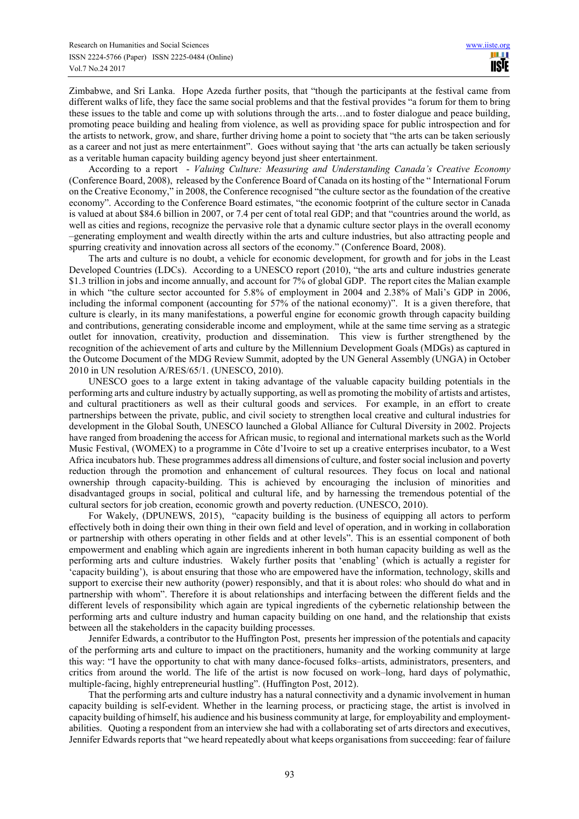Zimbabwe, and Sri Lanka. Hope Azeda further posits, that "though the participants at the festival came from different walks of life, they face the same social problems and that the festival provides "a forum for them to bring these issues to the table and come up with solutions through the arts…and to foster dialogue and peace building, promoting peace building and healing from violence, as well as providing space for public introspection and for the artists to network, grow, and share, further driving home a point to society that "the arts can be taken seriously as a career and not just as mere entertainment". Goes without saying that 'the arts can actually be taken seriously as a veritable human capacity building agency beyond just sheer entertainment.

According to a report - *Valuing Culture: Measuring and Understanding Canada's Creative Economy*  (Conference Board, 2008), released by the Conference Board of Canada on its hosting of the " International Forum on the Creative Economy," in 2008, the Conference recognised "the culture sector as the foundation of the creative economy". According to the Conference Board estimates, "the economic footprint of the culture sector in Canada is valued at about \$84.6 billion in 2007, or 7.4 per cent of total real GDP; and that "countries around the world, as well as cities and regions, recognize the pervasive role that a dynamic culture sector plays in the overall economy –generating employment and wealth directly within the arts and culture industries, but also attracting people and spurring creativity and innovation across all sectors of the economy." (Conference Board, 2008).

The arts and culture is no doubt, a vehicle for economic development, for growth and for jobs in the Least Developed Countries (LDCs). According to a UNESCO report (2010), "the arts and culture industries generate \$1.3 trillion in jobs and income annually, and account for 7% of global GDP. The report cites the Malian example in which "the culture sector accounted for 5.8% of employment in 2004 and 2.38% of Mali's GDP in 2006, including the informal component (accounting for 57% of the national economy)". It is a given therefore, that culture is clearly, in its many manifestations, a powerful engine for economic growth through capacity building and contributions, generating considerable income and employment, while at the same time serving as a strategic outlet for innovation, creativity, production and dissemination. This view is further strengthened by the recognition of the achievement of arts and culture by the Millennium Development Goals (MDGs) as captured in the Outcome Document of the MDG Review Summit, adopted by the UN General Assembly (UNGA) in October 2010 in UN resolution A/RES/65/1. (UNESCO, 2010).

UNESCO goes to a large extent in taking advantage of the valuable capacity building potentials in the performing arts and culture industry by actually supporting, as well as promoting the mobility of artists and artistes, and cultural practitioners as well as their cultural goods and services. For example, in an effort to create partnerships between the private, public, and civil society to strengthen local creative and cultural industries for development in the Global South, UNESCO launched a Global Alliance for Cultural Diversity in 2002. Projects have ranged from broadening the access for African music, to regional and international markets such as the World Music Festival, (WOMEX) to a programme in Côte d'Ivoire to set up a creative enterprises incubator, to a West Africa incubators hub. These programmes address all dimensions of culture, and foster social inclusion and poverty reduction through the promotion and enhancement of cultural resources. They focus on local and national ownership through capacity-building. This is achieved by encouraging the inclusion of minorities and disadvantaged groups in social, political and cultural life, and by harnessing the tremendous potential of the cultural sectors for job creation, economic growth and poverty reduction. (UNESCO, 2010).

For Wakely, (DPUNEWS, 2015), "capacity building is the business of equipping all actors to perform effectively both in doing their own thing in their own field and level of operation, and in working in collaboration or partnership with others operating in other fields and at other levels". This is an essential component of both empowerment and enabling which again are ingredients inherent in both human capacity building as well as the performing arts and culture industries. Wakely further posits that 'enabling' (which is actually a register for 'capacity building'), is about ensuring that those who are empowered have the information, technology, skills and support to exercise their new authority (power) responsibly, and that it is about roles: who should do what and in partnership with whom". Therefore it is about relationships and interfacing between the different fields and the different levels of responsibility which again are typical ingredients of the cybernetic relationship between the performing arts and culture industry and human capacity building on one hand, and the relationship that exists between all the stakeholders in the capacity building processes.

Jennifer Edwards, a contributor to the Huffington Post, presents her impression of the potentials and capacity of the performing arts and culture to impact on the practitioners, humanity and the working community at large this way: "I have the opportunity to chat with many dance-focused folks–artists, administrators, presenters, and critics from around the world. The life of the artist is now focused on work–long, hard days of polymathic, multiple-facing, highly entrepreneurial hustling". (Huffington Post, 2012).

That the performing arts and culture industry has a natural connectivity and a dynamic involvement in human capacity building is self-evident. Whether in the learning process, or practicing stage, the artist is involved in capacity building of himself, his audience and his business community at large, for employability and employmentabilities. Quoting a respondent from an interview she had with a collaborating set of arts directors and executives, Jennifer Edwards reports that "we heard repeatedly about what keeps organisations from succeeding: fear of failure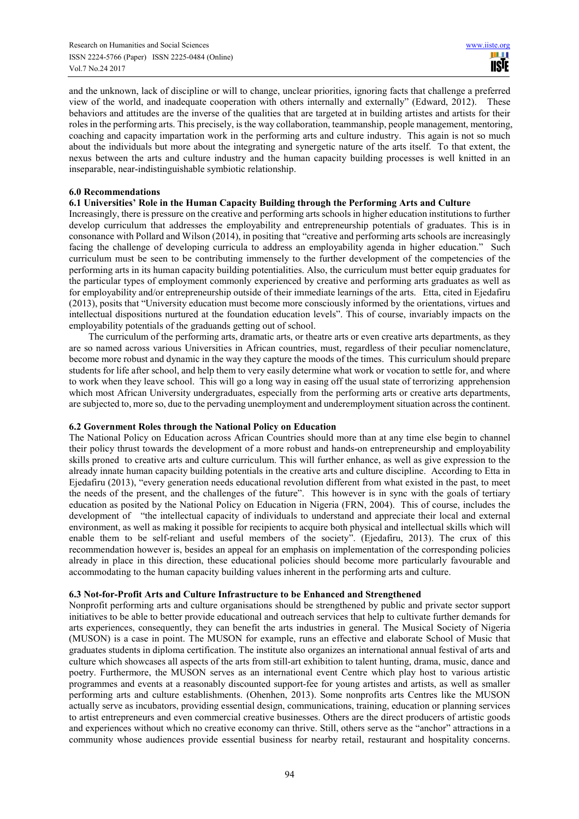and the unknown, lack of discipline or will to change, unclear priorities, ignoring facts that challenge a preferred view of the world, and inadequate cooperation with others internally and externally" (Edward, 2012). These behaviors and attitudes are the inverse of the qualities that are targeted at in building artistes and artists for their roles in the performing arts. This precisely, is the way collaboration, teammanship, people management, mentoring, coaching and capacity impartation work in the performing arts and culture industry. This again is not so much about the individuals but more about the integrating and synergetic nature of the arts itself. To that extent, the nexus between the arts and culture industry and the human capacity building processes is well knitted in an inseparable, near-indistinguishable symbiotic relationship.

#### **6.0 Recommendations**

#### **6.1 Universities' Role in the Human Capacity Building through the Performing Arts and Culture**

Increasingly, there is pressure on the creative and performing arts schools in higher education institutions to further develop curriculum that addresses the employability and entrepreneurship potentials of graduates. This is in consonance with Pollard and Wilson (2014), in positing that "creative and performing arts schools are increasingly facing the challenge of developing curricula to address an employability agenda in higher education." Such curriculum must be seen to be contributing immensely to the further development of the competencies of the performing arts in its human capacity building potentialities. Also, the curriculum must better equip graduates for the particular types of employment commonly experienced by creative and performing arts graduates as well as for employability and/or entrepreneurship outside of their immediate learnings of the arts. Etta, cited in Ejedafiru (2013), posits that "University education must become more consciously informed by the orientations, virtues and intellectual dispositions nurtured at the foundation education levels". This of course, invariably impacts on the employability potentials of the graduands getting out of school.

The curriculum of the performing arts, dramatic arts, or theatre arts or even creative arts departments, as they are so named across various Universities in African countries, must, regardless of their peculiar nomenclature, become more robust and dynamic in the way they capture the moods of the times. This curriculum should prepare students for life after school, and help them to very easily determine what work or vocation to settle for, and where to work when they leave school. This will go a long way in easing off the usual state of terrorizing apprehension which most African University undergraduates, especially from the performing arts or creative arts departments, are subjected to, more so, due to the pervading unemployment and underemployment situation across the continent.

## **6.2 Government Roles through the National Policy on Education**

The National Policy on Education across African Countries should more than at any time else begin to channel their policy thrust towards the development of a more robust and hands-on entrepreneurship and employability skills proned to creative arts and culture curriculum. This will further enhance, as well as give expression to the already innate human capacity building potentials in the creative arts and culture discipline. According to Etta in Ejedafiru (2013), "every generation needs educational revolution different from what existed in the past, to meet the needs of the present, and the challenges of the future". This however is in sync with the goals of tertiary education as posited by the National Policy on Education in Nigeria (FRN, 2004). This of course, includes the development of "the intellectual capacity of individuals to understand and appreciate their local and external environment, as well as making it possible for recipients to acquire both physical and intellectual skills which will enable them to be self-reliant and useful members of the society". (Ejedafiru, 2013). The crux of this recommendation however is, besides an appeal for an emphasis on implementation of the corresponding policies already in place in this direction, these educational policies should become more particularly favourable and accommodating to the human capacity building values inherent in the performing arts and culture.

## **6.3 Not-for-Profit Arts and Culture Infrastructure to be Enhanced and Strengthened**

Nonprofit performing arts and culture organisations should be strengthened by public and private sector support initiatives to be able to better provide educational and outreach services that help to cultivate further demands for arts experiences, consequently, they can benefit the arts industries in general. The Musical Society of Nigeria (MUSON) is a case in point. The MUSON for example, runs an effective and elaborate School of Music that graduates students in diploma certification. The institute also organizes an international annual festival of arts and culture which showcases all aspects of the arts from still-art exhibition to talent hunting, drama, music, dance and poetry. Furthermore, the MUSON serves as an international event Centre which play host to various artistic programmes and events at a reasonably discounted support-fee for young artistes and artists, as well as smaller performing arts and culture establishments. (Ohenhen, 2013). Some nonprofits arts Centres like the MUSON actually serve as incubators, providing essential design, communications, training, education or planning services to artist entrepreneurs and even commercial creative businesses. Others are the direct producers of artistic goods and experiences without which no creative economy can thrive. Still, others serve as the "anchor" attractions in a community whose audiences provide essential business for nearby retail, restaurant and hospitality concerns.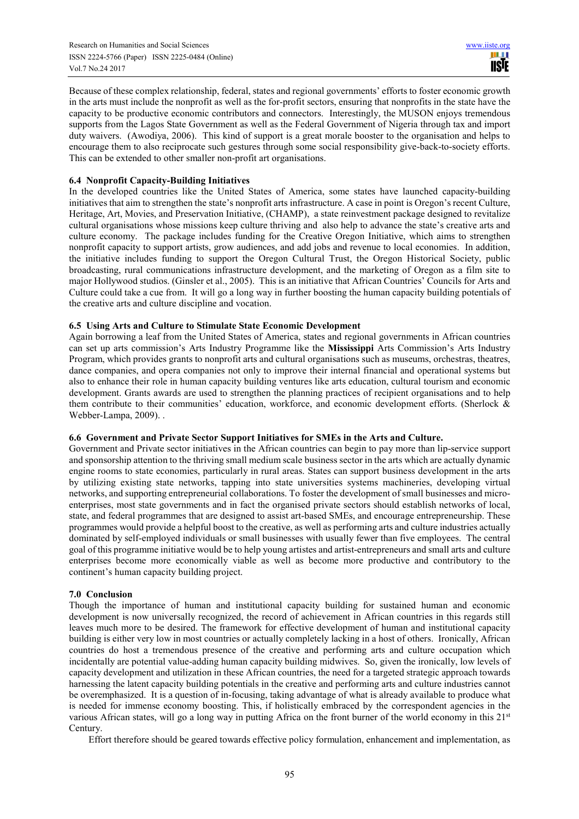Because of these complex relationship, federal, states and regional governments' efforts to foster economic growth in the arts must include the nonprofit as well as the for-profit sectors, ensuring that nonprofits in the state have the capacity to be productive economic contributors and connectors. Interestingly, the MUSON enjoys tremendous supports from the Lagos State Government as well as the Federal Government of Nigeria through tax and import duty waivers. (Awodiya, 2006). This kind of support is a great morale booster to the organisation and helps to encourage them to also reciprocate such gestures through some social responsibility give-back-to-society efforts. This can be extended to other smaller non-profit art organisations.

## **6.4 Nonprofit Capacity-Building Initiatives**

In the developed countries like the United States of America, some states have launched capacity-building initiatives that aim to strengthen the state's nonprofit arts infrastructure. A case in point is Oregon's recent Culture, Heritage, Art, Movies, and Preservation Initiative, (CHAMP), a state reinvestment package designed to revitalize cultural organisations whose missions keep culture thriving and also help to advance the state's creative arts and culture economy. The package includes funding for the Creative Oregon Initiative, which aims to strengthen nonprofit capacity to support artists, grow audiences, and add jobs and revenue to local economies. In addition, the initiative includes funding to support the Oregon Cultural Trust, the Oregon Historical Society, public broadcasting, rural communications infrastructure development, and the marketing of Oregon as a film site to major Hollywood studios. (Ginsler et al., 2005). This is an initiative that African Countries' Councils for Arts and Culture could take a cue from. It will go a long way in further boosting the human capacity building potentials of the creative arts and culture discipline and vocation.

## **6.5 Using Arts and Culture to Stimulate State Economic Development**

Again borrowing a leaf from the United States of America, states and regional governments in African countries can set up arts commission's Arts Industry Programme like the **Mississippi** Arts Commission's Arts Industry Program, which provides grants to nonprofit arts and cultural organisations such as museums, orchestras, theatres, dance companies, and opera companies not only to improve their internal financial and operational systems but also to enhance their role in human capacity building ventures like arts education, cultural tourism and economic development. Grants awards are used to strengthen the planning practices of recipient organisations and to help them contribute to their communities' education, workforce, and economic development efforts. (Sherlock & Webber-Lampa, 2009). .

## **6.6 Government and Private Sector Support Initiatives for SMEs in the Arts and Culture.**

Government and Private sector initiatives in the African countries can begin to pay more than lip-service support and sponsorship attention to the thriving small medium scale business sector in the arts which are actually dynamic engine rooms to state economies, particularly in rural areas. States can support business development in the arts by utilizing existing state networks, tapping into state universities systems machineries, developing virtual networks, and supporting entrepreneurial collaborations. To foster the development of small businesses and microenterprises, most state governments and in fact the organised private sectors should establish networks of local, state, and federal programmes that are designed to assist art-based SMEs, and encourage entrepreneurship. These programmes would provide a helpful boost to the creative, as well as performing arts and culture industries actually dominated by self-employed individuals or small businesses with usually fewer than five employees. The central goal of this programme initiative would be to help young artistes and artist-entrepreneurs and small arts and culture enterprises become more economically viable as well as become more productive and contributory to the continent's human capacity building project.

## **7.0 Conclusion**

Though the importance of human and institutional capacity building for sustained human and economic development is now universally recognized, the record of achievement in African countries in this regards still leaves much more to be desired. The framework for effective development of human and institutional capacity building is either very low in most countries or actually completely lacking in a host of others. Ironically, African countries do host a tremendous presence of the creative and performing arts and culture occupation which incidentally are potential value-adding human capacity building midwives. So, given the ironically, low levels of capacity development and utilization in these African countries, the need for a targeted strategic approach towards harnessing the latent capacity building potentials in the creative and performing arts and culture industries cannot be overemphasized. It is a question of in-focusing, taking advantage of what is already available to produce what is needed for immense economy boosting. This, if holistically embraced by the correspondent agencies in the various African states, will go a long way in putting Africa on the front burner of the world economy in this 21<sup>st</sup> Century.

Effort therefore should be geared towards effective policy formulation, enhancement and implementation, as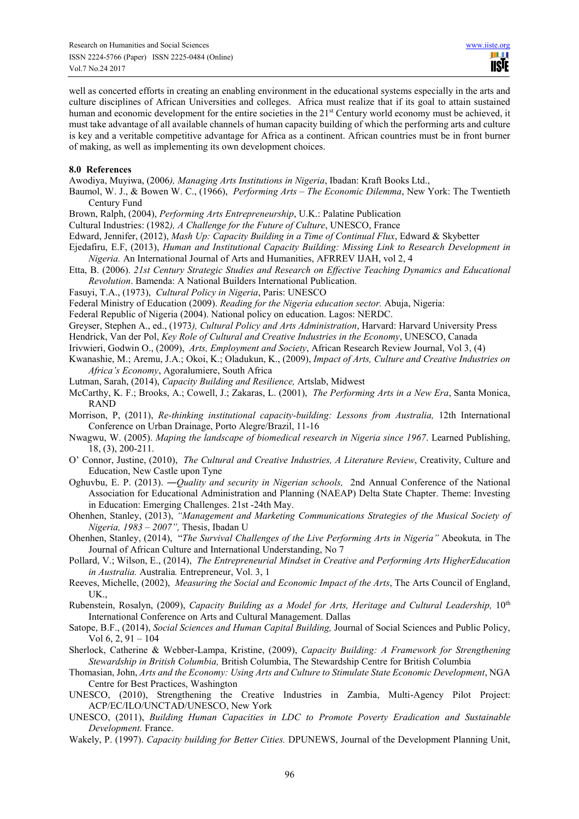well as concerted efforts in creating an enabling environment in the educational systems especially in the arts and culture disciplines of African Universities and colleges. Africa must realize that if its goal to attain sustained human and economic development for the entire societies in the 21<sup>st</sup> Century world economy must be achieved, it must take advantage of all available channels of human capacity building of which the performing arts and culture is key and a veritable competitive advantage for Africa as a continent. African countries must be in front burner of making, as well as implementing its own development choices.

#### **8.0 References**

Awodiya, Muyiwa, (2006*), Managing Arts Institutions in Nigeria*, Ibadan: Kraft Books Ltd.,

- Baumol, W. J., & Bowen W. C., (1966), *Performing Arts The Economic Dilemma*, New York: The Twentieth Century Fund
- Brown, Ralph, (2004), *Performing Arts Entrepreneurship*, U.K.: Palatine Publication
- Cultural Industries: (1982*), A Challenge for the Future of Culture*, UNESCO, France
- Edward, Jennifer, (2012), *Mash Up: Capacity Building in a Time of Continual Flux*, Edward & Skybetter
- Ejedafiru, E.F, (2013), *Human and Institutional Capacity Building: Missing Link to Research Development in Nigeria.* An International Journal of Arts and Humanities, AFRREV IJAH, vol 2, 4
- Etta, B. (2006). *21st Century Strategic Studies and Research on Effective Teaching Dynamics and Educational Revolution*. Bamenda: A National Builders International Publication.
- Fasuyi, T.A., (1973), *Cultural Policy in Nigeria*, Paris: UNESCO
- Federal Ministry of Education (2009). *Reading for the Nigeria education sector.* Abuja, Nigeria:
- Federal Republic of Nigeria (2004). National policy on education. Lagos: NERDC.
- Greyser, Stephen A., ed., (1973*), Cultural Policy and Arts Administration*, Harvard: Harvard University Press
- Hendrick, Van der Pol, *Key Role of Cultural and Creative Industries in the Economy*, UNESCO, Canada
- Irivwieri, Godwin O., (2009), *Arts, Employment and Society*, African Research Review Journal, Vol 3, (4)
- Kwanashie, M.; Aremu, J.A.; Okoi, K.; Oladukun, K., (2009), *Impact of Arts, Culture and Creative Industries on Africa's Economy*, Agoralumiere, South Africa
- Lutman, Sarah, (2014), *Capacity Building and Resilience,* Artslab, Midwest
- McCarthy, K. F.; Brooks, A.; Cowell, J.; Zakaras, L. (2001), *The Performing Arts in a New Era*, Santa Monica, RAND
- Morrison, P, (2011), *Re-thinking institutional capacity-building: Lessons from Australia,* 12th International Conference on Urban Drainage, Porto Alegre/Brazil, 11-16
- Nwagwu, W. (2005). *Maping the landscape of biomedical research in Nigeria since 1967*. Learned Publishing, 18, (3), 200-211.
- O' Connor, Justine, (2010), *The Cultural and Creative Industries, A Literature Review*, Creativity, Culture and Education, New Castle upon Tyne
- Oghuvbu, E. P. (2013). ―*Quality and security in Nigerian schools,* 2nd Annual Conference of the National Association for Educational Administration and Planning (NAEAP) Delta State Chapter. Theme: Investing in Education: Emerging Challenges. 21st -24th May.
- Ohenhen, Stanley, (2013), *"Management and Marketing Communications Strategies of the Musical Society of Nigeria, 1983 – 2007",* Thesis, Ibadan U
- Ohenhen, Stanley, (2014), "*The Survival Challenges of the Live Performing Arts in Nigeria"* Abeokuta*,* in The Journal of African Culture and International Understanding, No 7
- Pollard, V.; Wilson, E., (2014), *The Entrepreneurial Mindset in Creative and Performing Arts HigherEducation in Australia.* Australia*.* Entrepreneur, Vol. 3, 1
- Reeves, Michelle, (2002), *Measuring the Social and Economic Impact of the Arts*, The Arts Council of England, UK.,
- Rubenstein, Rosalyn, (2009), *Capacity Building as a Model for Arts, Heritage and Cultural Leadership*, 10<sup>th</sup> International Conference on Arts and Cultural Management. Dallas
- Satope, B.F., (2014), *Social Sciences and Human Capital Building,* Journal of Social Sciences and Public Policy, Vol 6, 2, 91 – 104
- Sherlock, Catherine & Webber-Lampa, Kristine, (2009), *Capacity Building: A Framework for Strengthening Stewardship in British Columbia,* British Columbia, The Stewardship Centre for British Columbia
- Thomasian, John, *Arts and the Economy: Using Arts and Culture to Stimulate State Economic Development*, NGA Centre for Best Practices, Washington
- UNESCO, (2010), Strengthening the Creative Industries in Zambia, Multi-Agency Pilot Project: ACP/EC/ILO/UNCTAD/UNESCO, New York
- UNESCO, (2011), *Building Human Capacities in LDC to Promote Poverty Eradication and Sustainable Development.* France.
- Wakely, P. (1997). *Capacity building for Better Cities.* DPUNEWS, Journal of the Development Planning Unit,